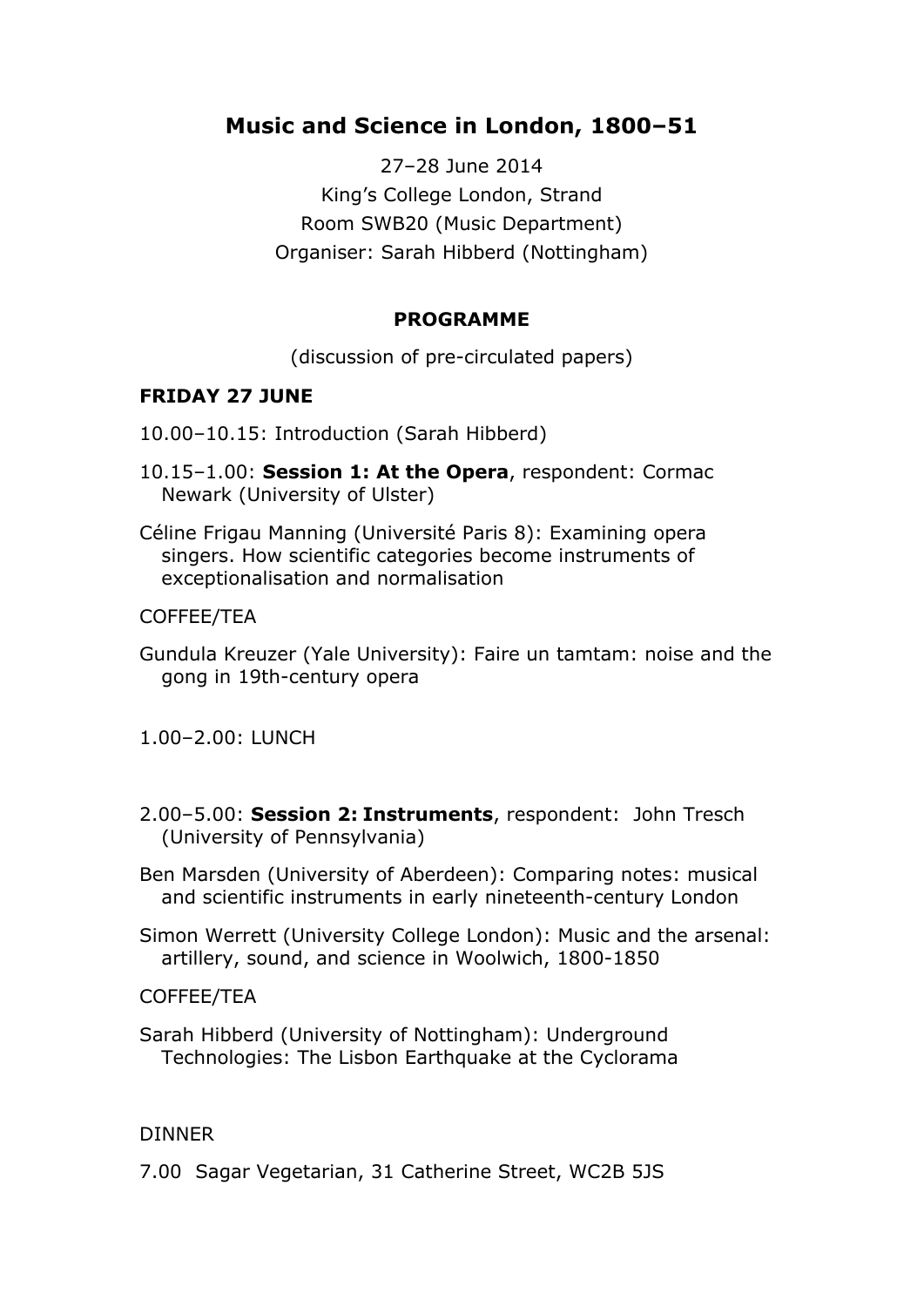# **Music and Science in London, 1800–51**

27–28 June 2014 King's College London, Strand Room SWB20 (Music Department) Organiser: Sarah Hibberd (Nottingham)

## **PROGRAMME**

(discussion of pre-circulated papers)

## **FRIDAY 27 JUNE**

10.00–10.15: Introduction (Sarah Hibberd)

- 10.15–1.00: **Session 1: At the Opera**, respondent: Cormac Newark (University of Ulster)
- Céline Frigau Manning (Université Paris 8): Examining opera singers. How scientific categories become instruments of exceptionalisation and normalisation

### COFFEE/TEA

- Gundula Kreuzer (Yale University): Faire un tamtam: noise and the gong in 19th-century opera
- 1.00–2.00: LUNCH
- 2.00–5.00: **Session 2: Instruments**, respondent: John Tresch (University of Pennsylvania)
- Ben Marsden (University of Aberdeen): Comparing notes: musical and scientific instruments in early nineteenth-century London
- Simon Werrett (University College London): Music and the arsenal: artillery, sound, and science in Woolwich, 1800-1850

### COFFEE/TEA

Sarah Hibberd (University of Nottingham): Underground Technologies: The Lisbon Earthquake at the Cyclorama

### **DINNER**

7.00 Sagar Vegetarian, 31 Catherine Street, WC2B 5JS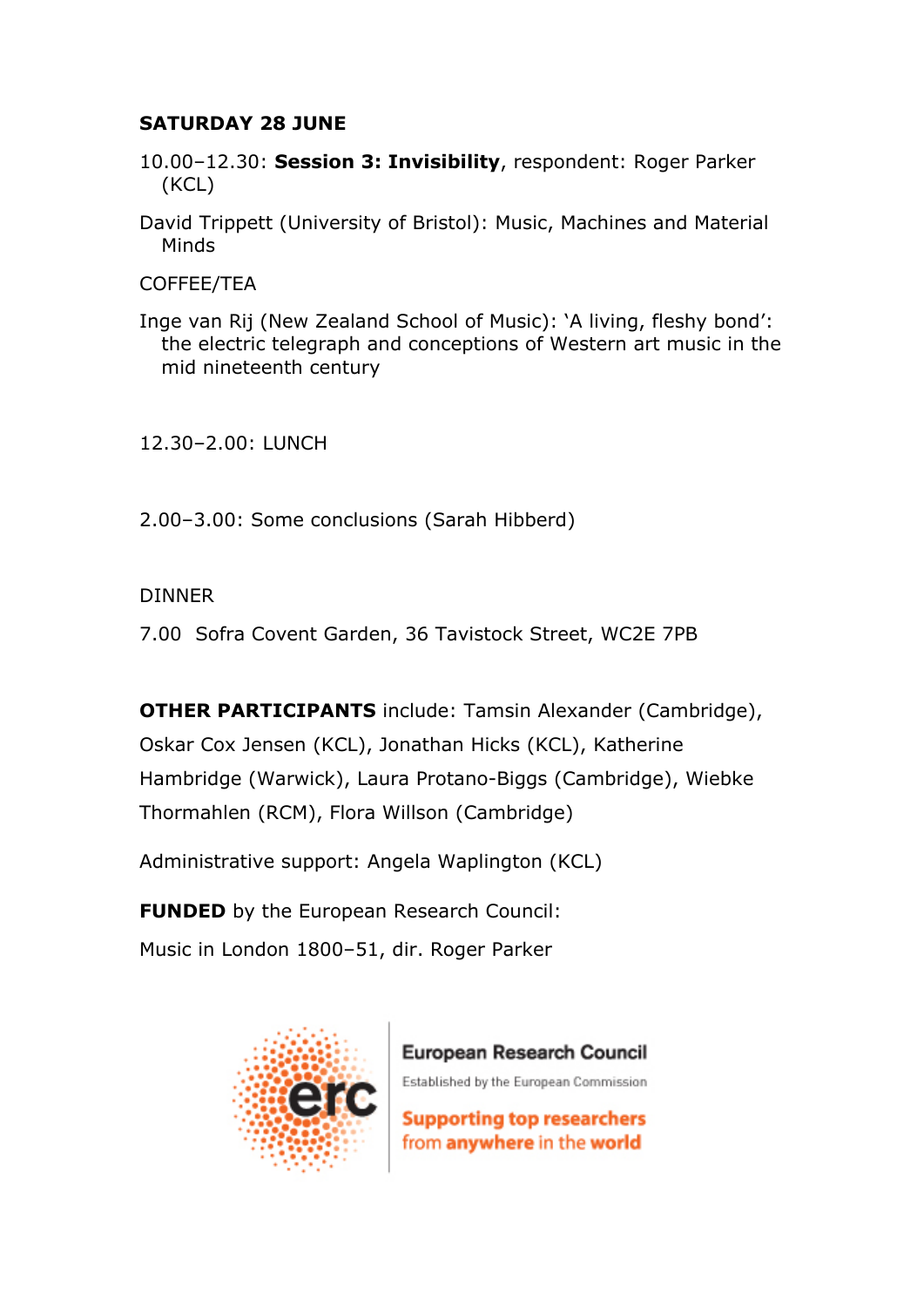## **SATURDAY 28 JUNE**

- 10.00–12.30: **Session 3: Invisibility**, respondent: Roger Parker (KCL)
- David Trippett (University of Bristol): Music, Machines and Material Minds

COFFEE/TEA

Inge van Rij (New Zealand School of Music): 'A living, fleshy bond': the electric telegraph and conceptions of Western art music in the mid nineteenth century

12.30–2.00: LUNCH

2.00–3.00: Some conclusions (Sarah Hibberd)

## DINNER

7.00 Sofra Covent Garden, 36 Tavistock Street, WC2E 7PB

**OTHER PARTICIPANTS** include: Tamsin Alexander (Cambridge), Oskar Cox Jensen (KCL), Jonathan Hicks (KCL), Katherine Hambridge (Warwick), Laura Protano-Biggs (Cambridge), Wiebke Thormahlen (RCM), Flora Willson (Cambridge)

Administrative support: Angela Waplington (KCL)

**FUNDED** by the European Research Council: Music in London 1800–51, dir. Roger Parker



European Research Council

Established by the European Commission

**Supporting top researchers** from anywhere in the world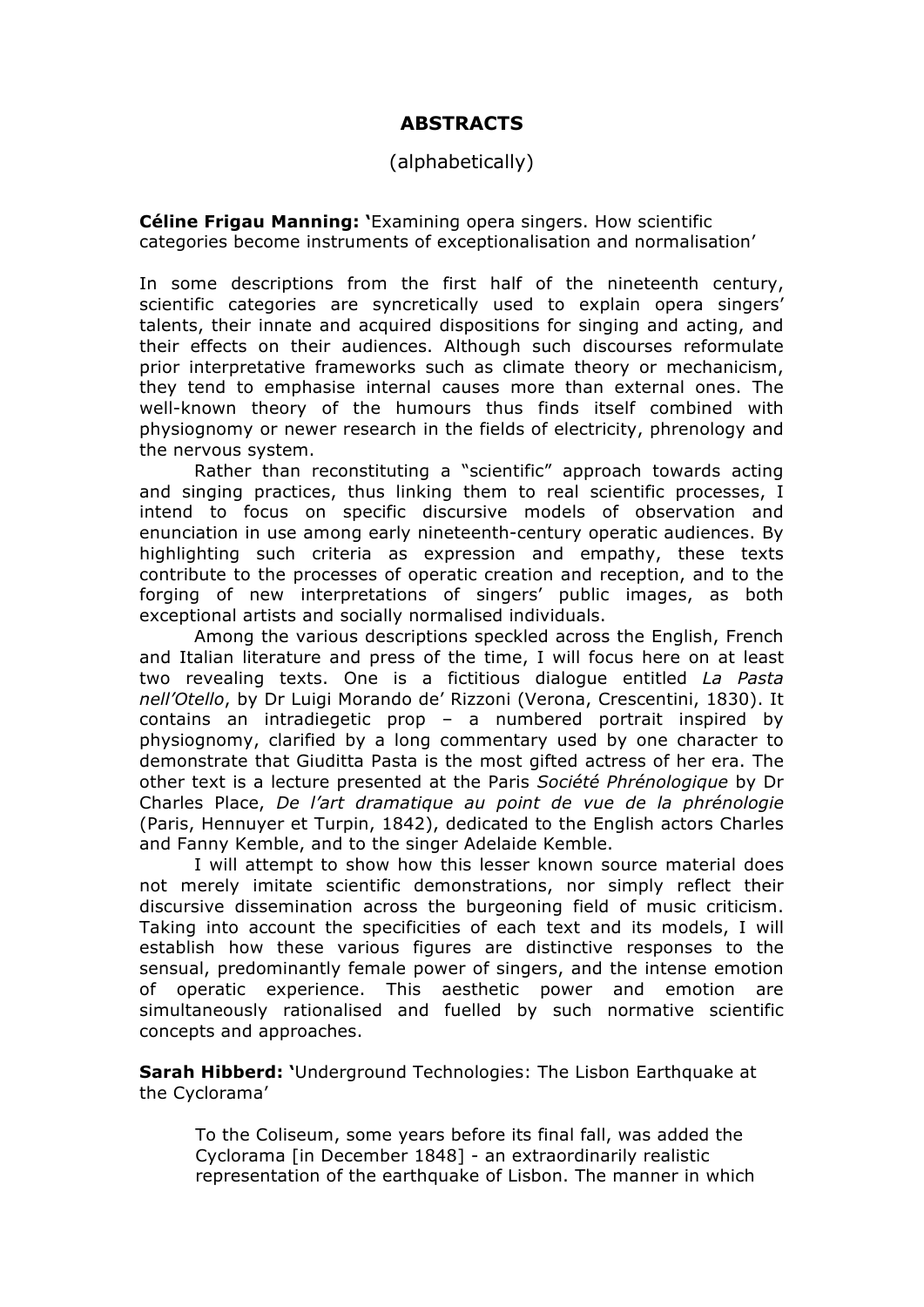## **ABSTRACTS**

### (alphabetically)

**Céline Frigau Manning: '**Examining opera singers. How scientific categories become instruments of exceptionalisation and normalisation'

In some descriptions from the first half of the nineteenth century, scientific categories are syncretically used to explain opera singers' talents, their innate and acquired dispositions for singing and acting, and their effects on their audiences. Although such discourses reformulate prior interpretative frameworks such as climate theory or mechanicism, they tend to emphasise internal causes more than external ones. The well-known theory of the humours thus finds itself combined with physiognomy or newer research in the fields of electricity, phrenology and the nervous system.

Rather than reconstituting a "scientific" approach towards acting and singing practices, thus linking them to real scientific processes, I intend to focus on specific discursive models of observation and enunciation in use among early nineteenth-century operatic audiences. By highlighting such criteria as expression and empathy, these texts contribute to the processes of operatic creation and reception, and to the forging of new interpretations of singers' public images, as both exceptional artists and socially normalised individuals.

Among the various descriptions speckled across the English, French and Italian literature and press of the time, I will focus here on at least two revealing texts. One is a fictitious dialogue entitled *La Pasta nell'Otello*, by Dr Luigi Morando de' Rizzoni (Verona, Crescentini, 1830). It contains an intradiegetic prop – a numbered portrait inspired by physiognomy, clarified by a long commentary used by one character to demonstrate that Giuditta Pasta is the most gifted actress of her era. The other text is a lecture presented at the Paris *Société Phrénologique* by Dr Charles Place, *De l'art dramatique au point de vue de la phrénologie*  (Paris, Hennuyer et Turpin, 1842), dedicated to the English actors Charles and Fanny Kemble, and to the singer Adelaide Kemble.

I will attempt to show how this lesser known source material does not merely imitate scientific demonstrations, nor simply reflect their discursive dissemination across the burgeoning field of music criticism. Taking into account the specificities of each text and its models, I will establish how these various figures are distinctive responses to the sensual, predominantly female power of singers, and the intense emotion of operatic experience. This aesthetic power and emotion are simultaneously rationalised and fuelled by such normative scientific concepts and approaches.

**Sarah Hibberd: '**Underground Technologies: The Lisbon Earthquake at the Cyclorama'

To the Coliseum, some years before its final fall, was added the Cyclorama [in December 1848] - an extraordinarily realistic representation of the earthquake of Lisbon. The manner in which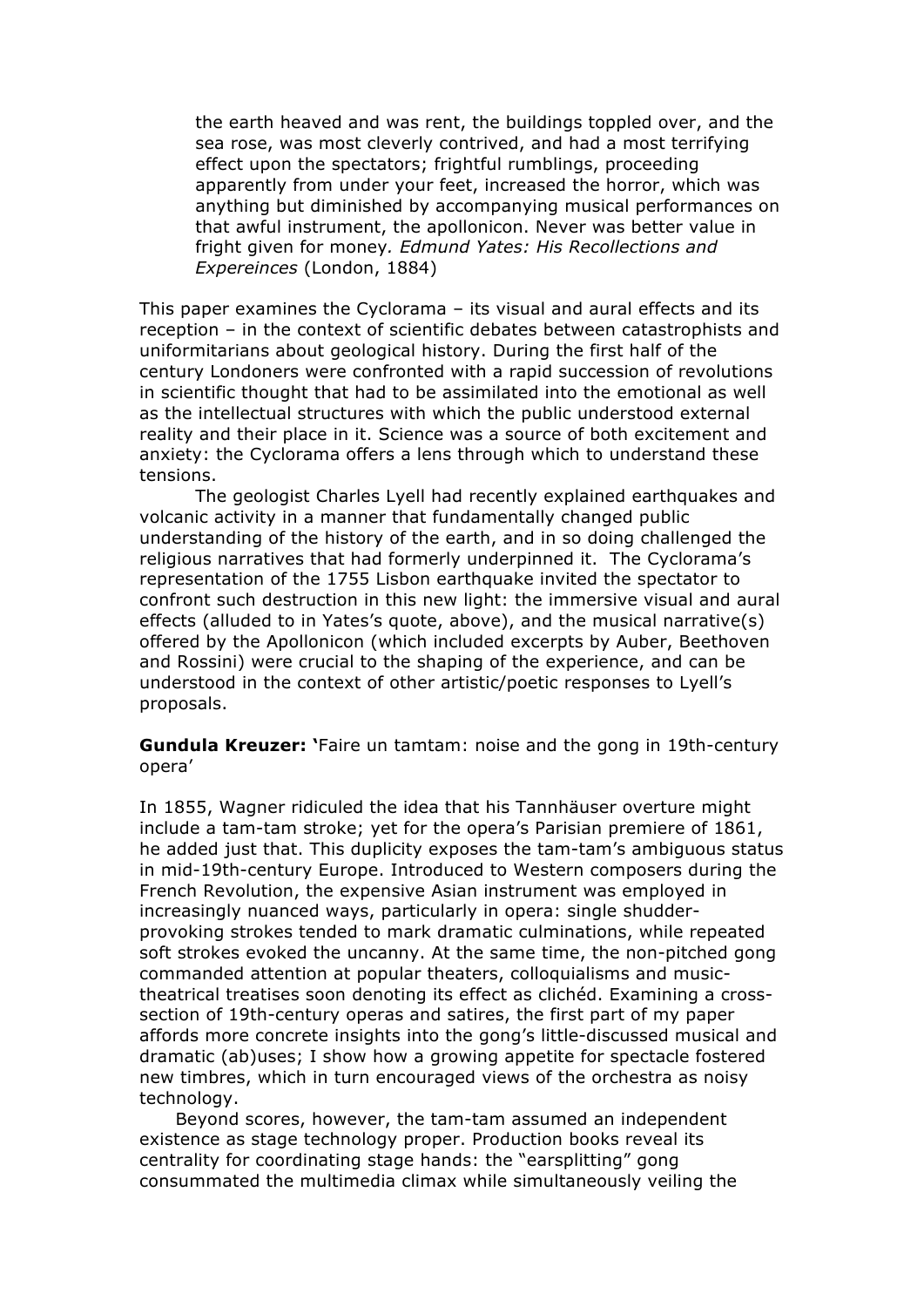the earth heaved and was rent, the buildings toppled over, and the sea rose, was most cleverly contrived, and had a most terrifying effect upon the spectators; frightful rumblings, proceeding apparently from under your feet, increased the horror, which was anything but diminished by accompanying musical performances on that awful instrument, the apollonicon. Never was better value in fright given for money*. Edmund Yates: His Recollections and Expereinces* (London, 1884)

This paper examines the Cyclorama – its visual and aural effects and its reception – in the context of scientific debates between catastrophists and uniformitarians about geological history. During the first half of the century Londoners were confronted with a rapid succession of revolutions in scientific thought that had to be assimilated into the emotional as well as the intellectual structures with which the public understood external reality and their place in it. Science was a source of both excitement and anxiety: the Cyclorama offers a lens through which to understand these tensions.

The geologist Charles Lyell had recently explained earthquakes and volcanic activity in a manner that fundamentally changed public understanding of the history of the earth, and in so doing challenged the religious narratives that had formerly underpinned it. The Cyclorama's representation of the 1755 Lisbon earthquake invited the spectator to confront such destruction in this new light: the immersive visual and aural effects (alluded to in Yates's quote, above), and the musical narrative(s) offered by the Apollonicon (which included excerpts by Auber, Beethoven and Rossini) were crucial to the shaping of the experience, and can be understood in the context of other artistic/poetic responses to Lyell's proposals.

**Gundula Kreuzer: '**Faire un tamtam: noise and the gong in 19th-century opera'

In 1855, Wagner ridiculed the idea that his Tannhäuser overture might include a tam-tam stroke; yet for the opera's Parisian premiere of 1861, he added just that. This duplicity exposes the tam-tam's ambiguous status in mid-19th-century Europe. Introduced to Western composers during the French Revolution, the expensive Asian instrument was employed in increasingly nuanced ways, particularly in opera: single shudderprovoking strokes tended to mark dramatic culminations, while repeated soft strokes evoked the uncanny. At the same time, the non-pitched gong commanded attention at popular theaters, colloquialisms and musictheatrical treatises soon denoting its effect as clichéd. Examining a crosssection of 19th-century operas and satires, the first part of my paper affords more concrete insights into the gong's little-discussed musical and dramatic (ab)uses; I show how a growing appetite for spectacle fostered new timbres, which in turn encouraged views of the orchestra as noisy technology.

 Beyond scores, however, the tam-tam assumed an independent existence as stage technology proper. Production books reveal its centrality for coordinating stage hands: the "earsplitting" gong consummated the multimedia climax while simultaneously veiling the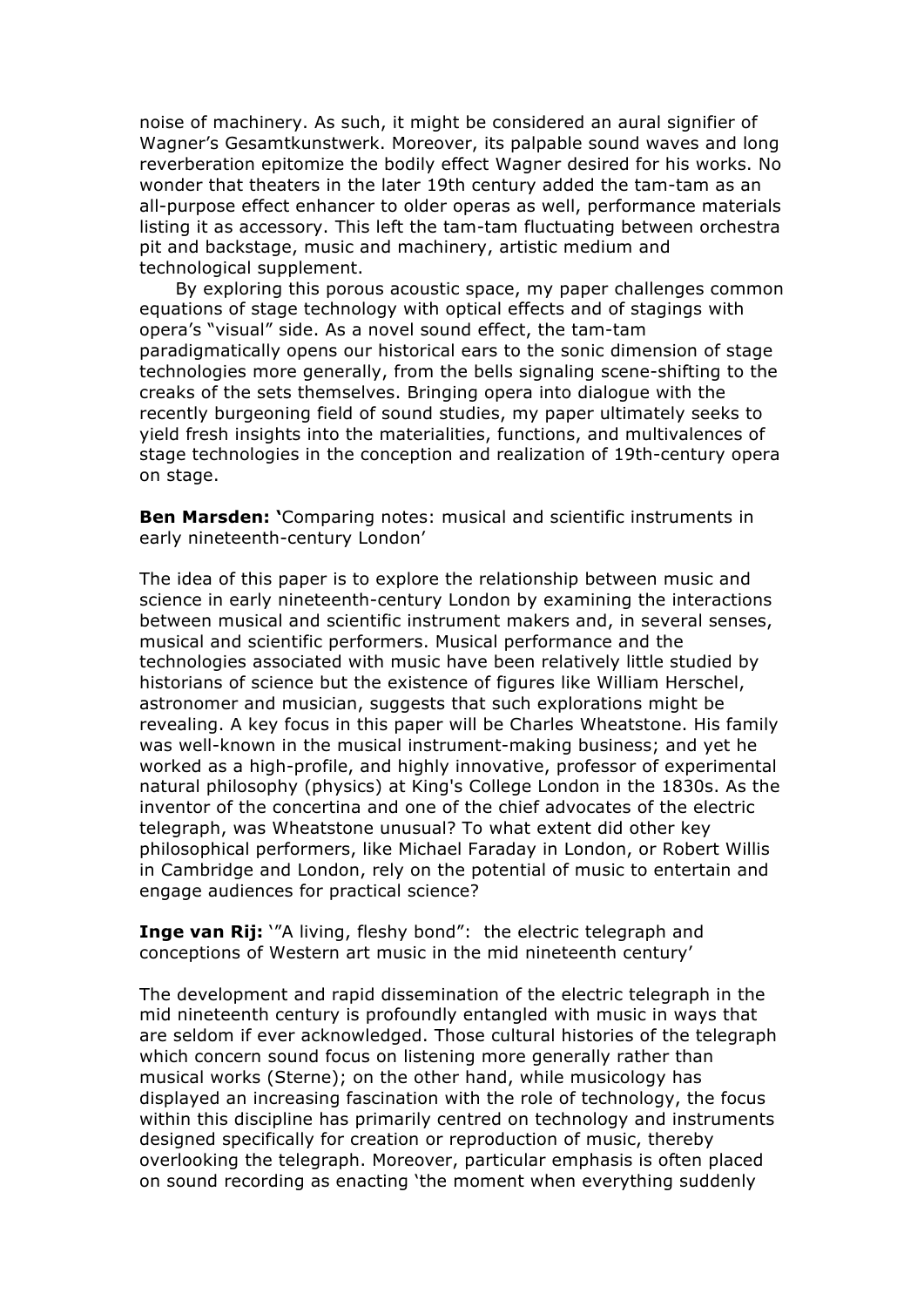noise of machinery. As such, it might be considered an aural signifier of Wagner's Gesamtkunstwerk. Moreover, its palpable sound waves and long reverberation epitomize the bodily effect Wagner desired for his works. No wonder that theaters in the later 19th century added the tam-tam as an all-purpose effect enhancer to older operas as well, performance materials listing it as accessory. This left the tam-tam fluctuating between orchestra pit and backstage, music and machinery, artistic medium and technological supplement.

 By exploring this porous acoustic space, my paper challenges common equations of stage technology with optical effects and of stagings with opera's "visual" side. As a novel sound effect, the tam-tam paradigmatically opens our historical ears to the sonic dimension of stage technologies more generally, from the bells signaling scene-shifting to the creaks of the sets themselves. Bringing opera into dialogue with the recently burgeoning field of sound studies, my paper ultimately seeks to yield fresh insights into the materialities, functions, and multivalences of stage technologies in the conception and realization of 19th-century opera on stage.

**Ben Marsden: '**Comparing notes: musical and scientific instruments in early nineteenth-century London'

The idea of this paper is to explore the relationship between music and science in early nineteenth-century London by examining the interactions between musical and scientific instrument makers and, in several senses, musical and scientific performers. Musical performance and the technologies associated with music have been relatively little studied by historians of science but the existence of figures like William Herschel, astronomer and musician, suggests that such explorations might be revealing. A key focus in this paper will be Charles Wheatstone. His family was well-known in the musical instrument-making business; and yet he worked as a high-profile, and highly innovative, professor of experimental natural philosophy (physics) at King's College London in the 1830s. As the inventor of the concertina and one of the chief advocates of the electric telegraph, was Wheatstone unusual? To what extent did other key philosophical performers, like Michael Faraday in London, or Robert Willis in Cambridge and London, rely on the potential of music to entertain and engage audiences for practical science?

**Inge van Rij:** "A living, fleshy bond": the electric telegraph and conceptions of Western art music in the mid nineteenth century'

The development and rapid dissemination of the electric telegraph in the mid nineteenth century is profoundly entangled with music in ways that are seldom if ever acknowledged. Those cultural histories of the telegraph which concern sound focus on listening more generally rather than musical works (Sterne); on the other hand, while musicology has displayed an increasing fascination with the role of technology, the focus within this discipline has primarily centred on technology and instruments designed specifically for creation or reproduction of music, thereby overlooking the telegraph. Moreover, particular emphasis is often placed on sound recording as enacting 'the moment when everything suddenly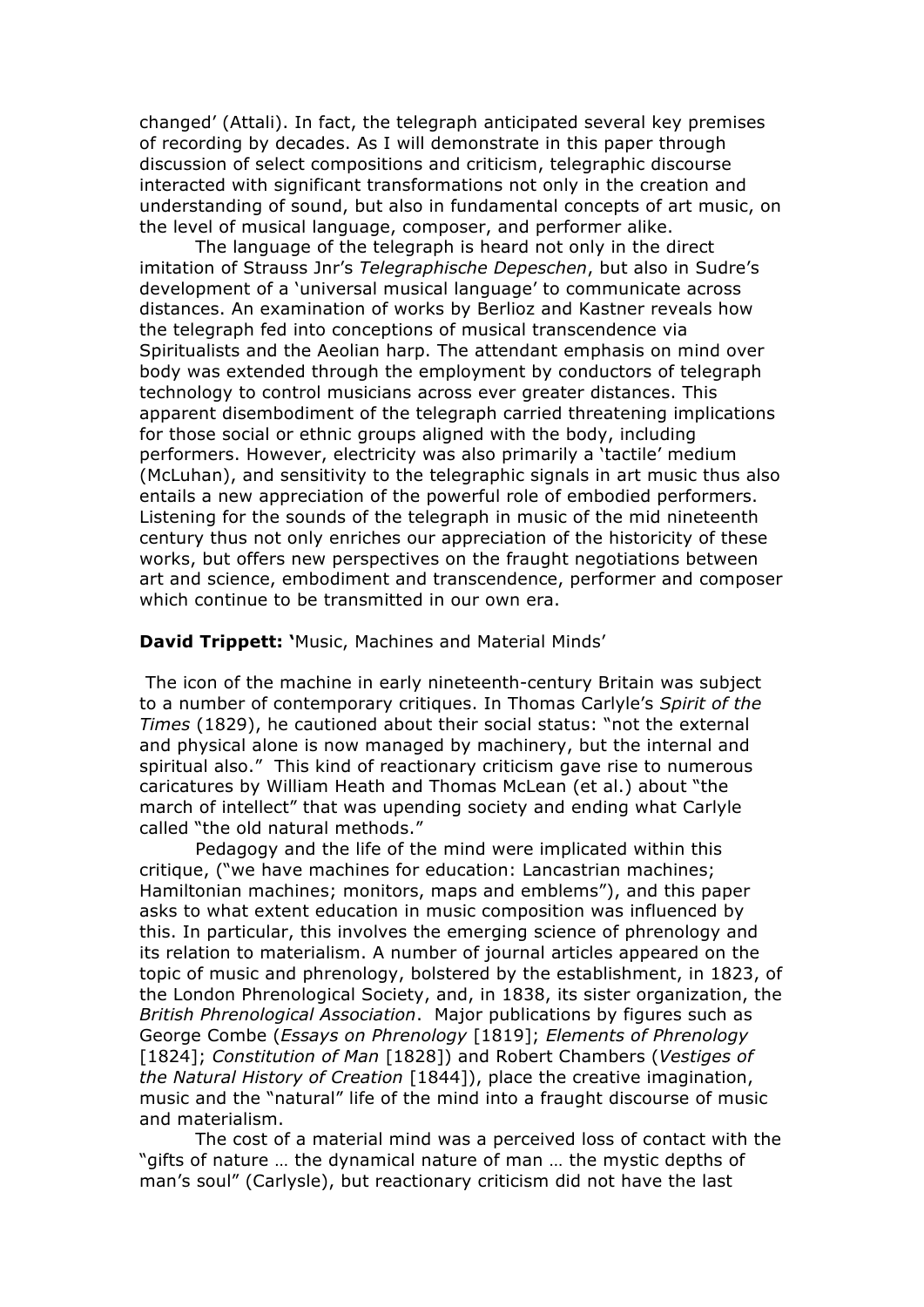changed' (Attali). In fact, the telegraph anticipated several key premises of recording by decades. As I will demonstrate in this paper through discussion of select compositions and criticism, telegraphic discourse interacted with significant transformations not only in the creation and understanding of sound, but also in fundamental concepts of art music, on the level of musical language, composer, and performer alike.

The language of the telegraph is heard not only in the direct imitation of Strauss Jnr's *Telegraphische Depeschen*, but also in Sudre's development of a 'universal musical language' to communicate across distances. An examination of works by Berlioz and Kastner reveals how the telegraph fed into conceptions of musical transcendence via Spiritualists and the Aeolian harp. The attendant emphasis on mind over body was extended through the employment by conductors of telegraph technology to control musicians across ever greater distances. This apparent disembodiment of the telegraph carried threatening implications for those social or ethnic groups aligned with the body, including performers. However, electricity was also primarily a 'tactile' medium (McLuhan), and sensitivity to the telegraphic signals in art music thus also entails a new appreciation of the powerful role of embodied performers. Listening for the sounds of the telegraph in music of the mid nineteenth century thus not only enriches our appreciation of the historicity of these works, but offers new perspectives on the fraught negotiations between art and science, embodiment and transcendence, performer and composer which continue to be transmitted in our own era.

#### **David Trippett: '**Music, Machines and Material Minds'

The icon of the machine in early nineteenth-century Britain was subject to a number of contemporary critiques. In Thomas Carlyle's *Spirit of the Times* (1829), he cautioned about their social status: "not the external and physical alone is now managed by machinery, but the internal and spiritual also." This kind of reactionary criticism gave rise to numerous caricatures by William Heath and Thomas McLean (et al.) about "the march of intellect" that was upending society and ending what Carlyle called "the old natural methods."

Pedagogy and the life of the mind were implicated within this critique, ("we have machines for education: Lancastrian machines; Hamiltonian machines; monitors, maps and emblems"), and this paper asks to what extent education in music composition was influenced by this. In particular, this involves the emerging science of phrenology and its relation to materialism. A number of journal articles appeared on the topic of music and phrenology, bolstered by the establishment, in 1823, of the London Phrenological Society, and, in 1838, its sister organization, the *British Phrenological Association*. Major publications by figures such as George Combe (*Essays on Phrenology* [1819]; *Elements of Phrenology*  [1824]; *Constitution of Man* [1828]) and Robert Chambers (*Vestiges of the Natural History of Creation* [1844]), place the creative imagination, music and the "natural" life of the mind into a fraught discourse of music and materialism.

The cost of a material mind was a perceived loss of contact with the "gifts of nature … the dynamical nature of man … the mystic depths of man's soul" (Carlysle), but reactionary criticism did not have the last